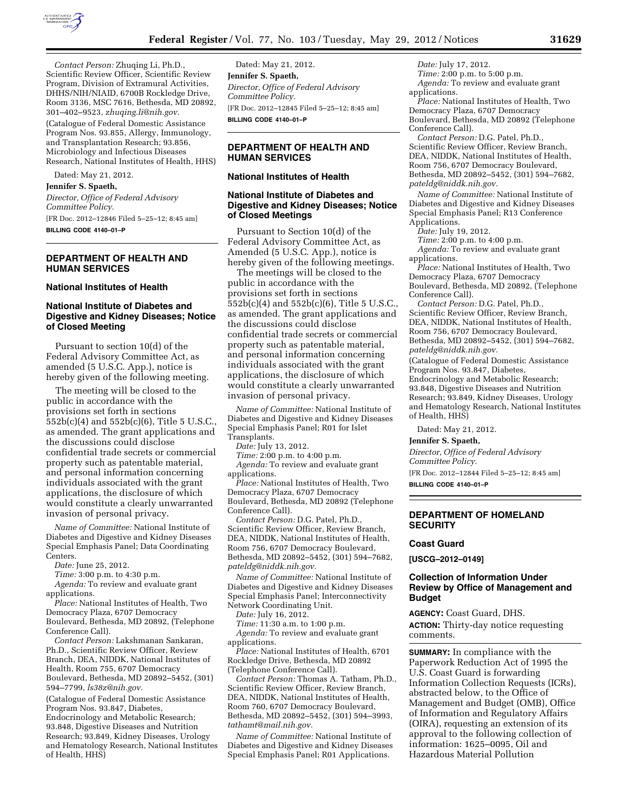

*Contact Person:* Zhuqing Li, Ph.D., Scientific Review Officer, Scientific Review Program, Division of Extramural Activities, DHHS/NIH/NIAID, 6700B Rockledge Drive, Room 3136, MSC 7616, Bethesda, MD 20892, 301–402–9523, *[zhuqing.li@nih.gov.](mailto:zhuqing.li@nih.gov)* 

(Catalogue of Federal Domestic Assistance Program Nos. 93.855, Allergy, Immunology, and Transplantation Research; 93.856, Microbiology and Infectious Diseases Research, National Institutes of Health, HHS)

Dated: May 21, 2012.

**Jennifer S. Spaeth,** 

*Director, Office of Federal Advisory Committee Policy.*  [FR Doc. 2012–12846 Filed 5–25–12; 8:45 am]

**BILLING CODE 4140–01–P** 

# **DEPARTMENT OF HEALTH AND HUMAN SERVICES**

### **National Institutes of Health**

# **National Institute of Diabetes and Digestive and Kidney Diseases; Notice of Closed Meeting**

Pursuant to section 10(d) of the Federal Advisory Committee Act, as amended (5 U.S.C. App.), notice is hereby given of the following meeting.

The meeting will be closed to the public in accordance with the provisions set forth in sections 552b(c)(4) and 552b(c)(6), Title 5 U.S.C., as amended. The grant applications and the discussions could disclose confidential trade secrets or commercial property such as patentable material, and personal information concerning individuals associated with the grant applications, the disclosure of which would constitute a clearly unwarranted invasion of personal privacy.

*Name of Committee:* National Institute of Diabetes and Digestive and Kidney Diseases Special Emphasis Panel; Data Coordinating Centers.

*Date:* June 25, 2012.

*Time:* 3:00 p.m. to 4:30 p.m.

*Agenda:* To review and evaluate grant applications.

*Place:* National Institutes of Health, Two Democracy Plaza, 6707 Democracy

Boulevard, Bethesda, MD 20892, (Telephone Conference Call).

*Contact Person:* Lakshmanan Sankaran, Ph.D., Scientific Review Officer, Review Branch, DEA, NIDDK, National Institutes of Health, Room 755, 6707 Democracy Boulevard, Bethesda, MD 20892–5452, (301) 594–7799, *[ls38z@nih.gov.](mailto:ls38z@nih.gov)* 

(Catalogue of Federal Domestic Assistance Program Nos. 93.847, Diabetes, Endocrinology and Metabolic Research; 93.848, Digestive Diseases and Nutrition Research; 93.849, Kidney Diseases, Urology and Hematology Research, National Institutes of Health, HHS)

Dated: May 21, 2012. **Jennifer S. Spaeth,**  *Director, Office of Federal Advisory Committee Policy.*  [FR Doc. 2012–12845 Filed 5–25–12; 8:45 am] **BILLING CODE 4140–01–P** 

# **DEPARTMENT OF HEALTH AND HUMAN SERVICES**

### **National Institutes of Health**

## **National Institute of Diabetes and Digestive and Kidney Diseases; Notice of Closed Meetings**

Pursuant to Section 10(d) of the Federal Advisory Committee Act, as Amended (5 U.S.C. App.), notice is hereby given of the following meetings.

The meetings will be closed to the public in accordance with the provisions set forth in sections 552b(c)(4) and 552b(c)(6), Title 5 U.S.C., as amended. The grant applications and the discussions could disclose confidential trade secrets or commercial property such as patentable material, and personal information concerning individuals associated with the grant applications, the disclosure of which would constitute a clearly unwarranted invasion of personal privacy.

*Name of Committee:* National Institute of Diabetes and Digestive and Kidney Diseases Special Emphasis Panel; R01 for Islet Transplants.

*Date:* July 13, 2012.

*Time:* 2:00 p.m. to 4:00 p.m.

*Agenda:* To review and evaluate grant applications.

*Place:* National Institutes of Health, Two Democracy Plaza, 6707 Democracy Boulevard, Bethesda, MD 20892 (Telephone

Conference Call). *Contact Person:* D.G. Patel, Ph.D.,

Scientific Review Officer, Review Branch, DEA, NIDDK, National Institutes of Health, Room 756, 6707 Democracy Boulevard, Bethesda, MD 20892–5452, (301) 594–7682, *[pateldg@niddk.nih.gov.](mailto:pateldg@niddk.nih.gov)* 

*Name of Committee:* National Institute of Diabetes and Digestive and Kidney Diseases Special Emphasis Panel; Interconnectivity Network Coordinating Unit.

*Date:* July 16, 2012.

*Time:* 11:30 a.m. to 1:00 p.m.

*Agenda:* To review and evaluate grant applications.

*Place:* National Institutes of Health, 6701 Rockledge Drive, Bethesda, MD 20892 (Telephone Conference Call).

*Contact Person:* Thomas A. Tatham, Ph.D., Scientific Review Officer, Review Branch, DEA, NIDDK, National Institutes of Health, Room 760, 6707 Democracy Boulevard, Bethesda, MD 20892–5452, (301) 594–3993, *[tathamt@mail.nih.gov.](mailto:tathamt@mail.nih.gov)* 

*Name of Committee:* National Institute of Diabetes and Digestive and Kidney Diseases Special Emphasis Panel; R01 Applications.

*Date:* July 17, 2012. *Time:* 2:00 p.m. to 5:00 p.m. *Agenda:* To review and evaluate grant applications.

*Place:* National Institutes of Health, Two Democracy Plaza, 6707 Democracy Boulevard, Bethesda, MD 20892 (Telephone Conference Call).

*Contact Person:* D.G. Patel, Ph.D., Scientific Review Officer, Review Branch, DEA, NIDDK, National Institutes of Health, Room 756, 6707 Democracy Boulevard, Bethesda, MD 20892–5452, (301) 594–7682, *[pateldg@niddk.nih.gov.](mailto:pateldg@niddk.nih.gov)* 

*Name of Committee:* National Institute of Diabetes and Digestive and Kidney Diseases Special Emphasis Panel; R13 Conference Applications.

*Date:* July 19, 2012.

*Time:* 2:00 p.m. to 4:00 p.m.

*Agenda:* To review and evaluate grant applications.

*Place:* National Institutes of Health, Two Democracy Plaza, 6707 Democracy Boulevard, Bethesda, MD 20892, (Telephone Conference Call).

*Contact Person:* D.G. Patel, Ph.D., Scientific Review Officer, Review Branch, DEA, NIDDK, National Institutes of Health, Room 756, 6707 Democracy Boulevard, Bethesda, MD 20892–5452, (301) 594–7682, *[pateldg@niddk.nih.gov.](mailto:pateldg@niddk.nih.gov)* 

(Catalogue of Federal Domestic Assistance Program Nos. 93.847, Diabetes, Endocrinology and Metabolic Research; 93.848, Digestive Diseases and Nutrition Research; 93.849, Kidney Diseases, Urology and Hematology Research, National Institutes of Health, HHS)

Dated: May 21, 2012.

**Jennifer S. Spaeth,** 

*Director, Office of Federal Advisory Committee Policy.* 

[FR Doc. 2012–12844 Filed 5–25–12; 8:45 am]

**BILLING CODE 4140–01–P** 

# **DEPARTMENT OF HOMELAND SECURITY**

## **Coast Guard**

**[USCG–2012–0149]** 

# **Collection of Information Under Review by Office of Management and Budget**

**AGENCY:** Coast Guard, DHS. **ACTION:** Thirty-day notice requesting comments.

**SUMMARY:** In compliance with the Paperwork Reduction Act of 1995 the U.S. Coast Guard is forwarding Information Collection Requests (ICRs), abstracted below, to the Office of Management and Budget (OMB), Office of Information and Regulatory Affairs (OIRA), requesting an extension of its approval to the following collection of information: 1625–0095, Oil and Hazardous Material Pollution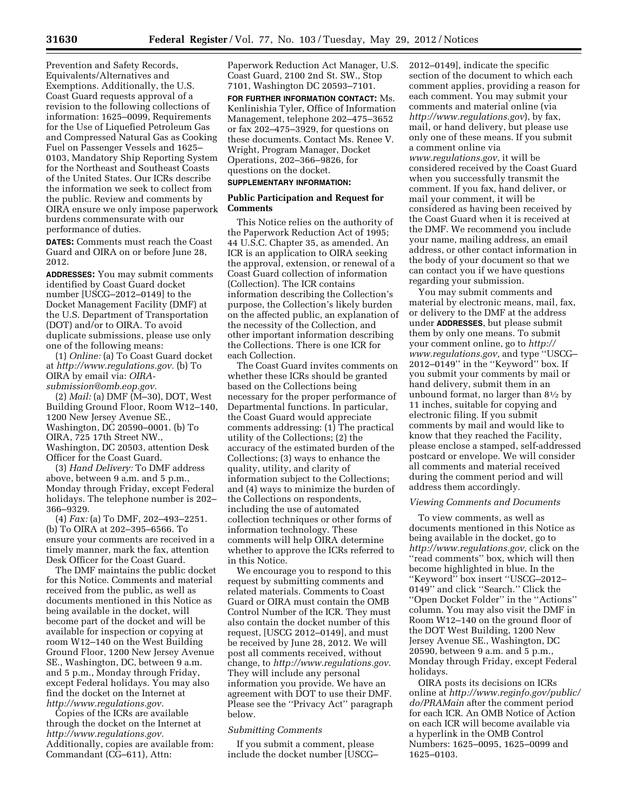Prevention and Safety Records, Equivalents/Alternatives and Exemptions. Additionally, the U.S. Coast Guard requests approval of a revision to the following collections of information: 1625–0099, Requirements for the Use of Liquefied Petroleum Gas and Compressed Natural Gas as Cooking Fuel on Passenger Vessels and 1625– 0103, Mandatory Ship Reporting System for the Northeast and Southeast Coasts of the United States. Our ICRs describe the information we seek to collect from the public. Review and comments by OIRA ensure we only impose paperwork burdens commensurate with our performance of duties.

**DATES:** Comments must reach the Coast Guard and OIRA on or before June 28, 2012.

**ADDRESSES:** You may submit comments identified by Coast Guard docket number [USCG–2012–0149] to the Docket Management Facility (DMF) at the U.S. Department of Transportation (DOT) and/or to OIRA. To avoid duplicate submissions, please use only one of the following means:

(1) *Online:* (a) To Coast Guard docket at *[http://www.regulations.gov.](http://www.regulations.gov)* (b) To OIRA by email via: *[OIRA](mailto:OIRA-submission@omb.eop.gov)[submission@omb.eop.gov.](mailto:OIRA-submission@omb.eop.gov)* 

(2) *Mail:* (a) DMF (M–30), DOT, West Building Ground Floor, Room W12–140, 1200 New Jersey Avenue SE., Washington, DC 20590–0001. (b) To OIRA, 725 17th Street NW., Washington, DC 20503, attention Desk Officer for the Coast Guard.

(3) *Hand Delivery:* To DMF address above, between 9 a.m. and 5 p.m., Monday through Friday, except Federal holidays. The telephone number is 202– 366–9329.

(4) *Fax:* (a) To DMF, 202–493–2251. (b) To OIRA at 202–395–6566. To ensure your comments are received in a timely manner, mark the fax, attention Desk Officer for the Coast Guard.

The DMF maintains the public docket for this Notice. Comments and material received from the public, as well as documents mentioned in this Notice as being available in the docket, will become part of the docket and will be available for inspection or copying at room W12–140 on the West Building Ground Floor, 1200 New Jersey Avenue SE., Washington, DC, between 9 a.m. and 5 p.m., Monday through Friday, except Federal holidays. You may also find the docket on the Internet at *[http://www.regulations.gov.](http://www.regulations.gov)* 

Copies of the ICRs are available through the docket on the Internet at *[http://www.regulations.gov.](http://www.regulations.gov)*  Additionally, copies are available from: Commandant (CG–611), Attn:

Paperwork Reduction Act Manager, U.S. Coast Guard, 2100 2nd St. SW., Stop 7101, Washington DC 20593–7101.

**FOR FURTHER INFORMATION CONTACT:** Ms. Kenlinishia Tyler, Office of Information Management, telephone 202–475–3652 or fax 202–475–3929, for questions on these documents. Contact Ms. Renee V. Wright, Program Manager, Docket Operations, 202–366–9826, for questions on the docket.

# **SUPPLEMENTARY INFORMATION:**

# **Public Participation and Request for Comments**

This Notice relies on the authority of the Paperwork Reduction Act of 1995; 44 U.S.C. Chapter 35, as amended. An ICR is an application to OIRA seeking the approval, extension, or renewal of a Coast Guard collection of information (Collection). The ICR contains information describing the Collection's purpose, the Collection's likely burden on the affected public, an explanation of the necessity of the Collection, and other important information describing the Collections. There is one ICR for each Collection.

The Coast Guard invites comments on whether these ICRs should be granted based on the Collections being necessary for the proper performance of Departmental functions. In particular, the Coast Guard would appreciate comments addressing: (1) The practical utility of the Collections; (2) the accuracy of the estimated burden of the Collections; (3) ways to enhance the quality, utility, and clarity of information subject to the Collections; and (4) ways to minimize the burden of the Collections on respondents, including the use of automated collection techniques or other forms of information technology. These comments will help OIRA determine whether to approve the ICRs referred to in this Notice.

We encourage you to respond to this request by submitting comments and related materials. Comments to Coast Guard or OIRA must contain the OMB Control Number of the ICR. They must also contain the docket number of this request, [USCG 2012–0149], and must be received by June 28, 2012. We will post all comments received, without change, to *[http://www.regulations.gov.](http://www.regulations.gov)*  They will include any personal information you provide. We have an agreement with DOT to use their DMF. Please see the ''Privacy Act'' paragraph below.

#### *Submitting Comments*

If you submit a comment, please include the docket number [USCG– 2012–0149], indicate the specific section of the document to which each comment applies, providing a reason for each comment. You may submit your comments and material online (via *<http://www.regulations.gov>*), by fax, mail, or hand delivery, but please use only one of these means. If you submit a comment online via *[www.regulations.gov,](http://www.regulations.gov)* it will be considered received by the Coast Guard when you successfully transmit the comment. If you fax, hand deliver, or mail your comment, it will be considered as having been received by the Coast Guard when it is received at the DMF. We recommend you include your name, mailing address, an email address, or other contact information in the body of your document so that we can contact you if we have questions regarding your submission.

You may submit comments and material by electronic means, mail, fax, or delivery to the DMF at the address under **ADDRESSES**, but please submit them by only one means. To submit your comment online, go to *[http://](http://www.regulations.gov)  [www.regulations.gov,](http://www.regulations.gov)* and type ''USCG– 2012–0149'' in the ''Keyword'' box. If you submit your comments by mail or hand delivery, submit them in an unbound format, no larger than 81⁄2 by 11 inches, suitable for copying and electronic filing. If you submit comments by mail and would like to know that they reached the Facility, please enclose a stamped, self-addressed postcard or envelope. We will consider all comments and material received during the comment period and will address them accordingly.

#### *Viewing Comments and Documents*

To view comments, as well as documents mentioned in this Notice as being available in the docket, go to *[http://www.regulations.gov,](http://www.regulations.gov)* click on the ''read comments'' box, which will then become highlighted in blue. In the ''Keyword'' box insert ''USCG–2012– 0149'' and click ''Search.'' Click the ''Open Docket Folder'' in the ''Actions'' column. You may also visit the DMF in Room W12–140 on the ground floor of the DOT West Building, 1200 New Jersey Avenue SE., Washington, DC 20590, between 9 a.m. and 5 p.m., Monday through Friday, except Federal holidays.

OIRA posts its decisions on ICRs online at *[http://www.reginfo.gov/public/](http://www.reginfo.gov/public/do/PRAMain) [do/PRAMain](http://www.reginfo.gov/public/do/PRAMain)* after the comment period for each ICR. An OMB Notice of Action on each ICR will become available via a hyperlink in the OMB Control Numbers: 1625–0095, 1625–0099 and 1625–0103.